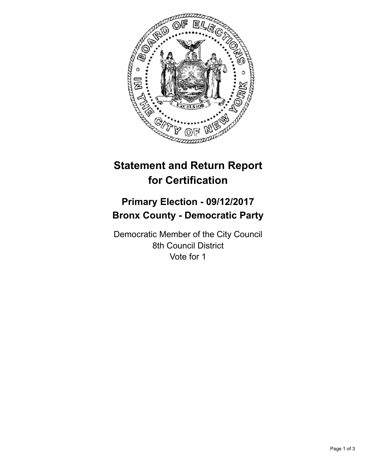

# **Statement and Return Report for Certification**

## **Primary Election - 09/12/2017 Bronx County - Democratic Party**

Democratic Member of the City Council 8th Council District Vote for 1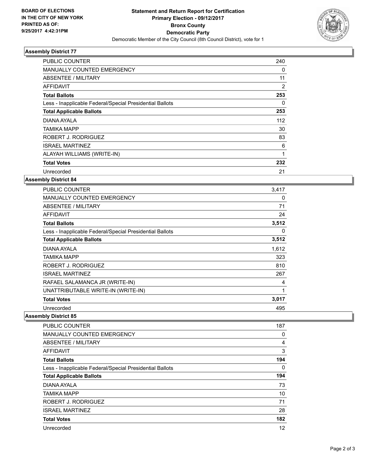

### **Assembly District 77**

| <b>PUBLIC COUNTER</b>                                    | 240 |
|----------------------------------------------------------|-----|
| <b>MANUALLY COUNTED EMERGENCY</b>                        | 0   |
| ABSENTEE / MILITARY                                      | 11  |
| AFFIDAVIT                                                | 2   |
| <b>Total Ballots</b>                                     | 253 |
| Less - Inapplicable Federal/Special Presidential Ballots | 0   |
| <b>Total Applicable Ballots</b>                          | 253 |
| DIANA AYALA                                              | 112 |
| TAMIKA MAPP                                              | 30  |
| ROBERT J. RODRIGUEZ                                      | 83  |
| <b>ISRAEL MARTINEZ</b>                                   | 6   |
| ALAYAH WILLIAMS (WRITE-IN)                               | 1   |
| <b>Total Votes</b>                                       | 232 |
| Unrecorded                                               | 21  |

### **Assembly District 84**

| <b>PUBLIC COUNTER</b>                                    | 3,417 |
|----------------------------------------------------------|-------|
| <b>MANUALLY COUNTED EMERGENCY</b>                        | 0     |
| ABSENTEE / MILITARY                                      | 71    |
| <b>AFFIDAVIT</b>                                         | 24    |
| <b>Total Ballots</b>                                     | 3,512 |
| Less - Inapplicable Federal/Special Presidential Ballots | 0     |
| <b>Total Applicable Ballots</b>                          | 3,512 |
| DIANA AYALA                                              | 1,612 |
| TAMIKA MAPP                                              | 323   |
| ROBERT J. RODRIGUEZ                                      | 810   |
| <b>ISRAEL MARTINEZ</b>                                   | 267   |
| RAFAEL SALAMANCA JR (WRITE-IN)                           | 4     |
| UNATTRIBUTABLE WRITE-IN (WRITE-IN)                       | 1     |
| <b>Total Votes</b>                                       | 3,017 |
| Unrecorded                                               | 495   |

**Assembly District 85**

| <b>PUBLIC COUNTER</b>                                    | 187 |
|----------------------------------------------------------|-----|
| <b>MANUALLY COUNTED EMERGENCY</b>                        | 0   |
| ABSENTEE / MILITARY                                      | 4   |
| AFFIDAVIT                                                | 3   |
| <b>Total Ballots</b>                                     | 194 |
| Less - Inapplicable Federal/Special Presidential Ballots | 0   |
| <b>Total Applicable Ballots</b>                          | 194 |
| DIANA AYALA                                              | 73  |
| TAMIKA MAPP                                              | 10  |
| ROBERT J. RODRIGUEZ                                      | 71  |
| <b>ISRAEL MARTINEZ</b>                                   | 28  |
| <b>Total Votes</b>                                       | 182 |
| Unrecorded                                               | 12  |